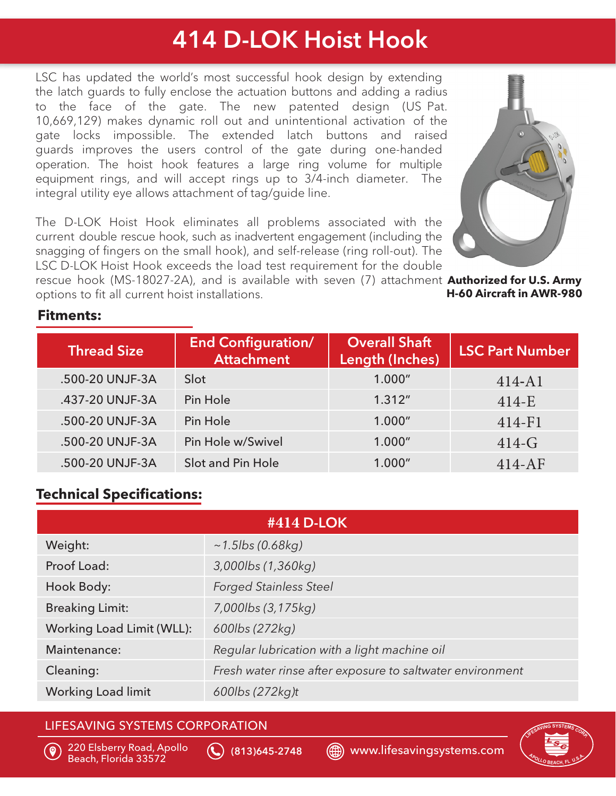## 414 D-LOK Hoist Hook

LSC has updated the world's most successful hook design by extending the latch guards to fully enclose the actuation buttons and adding a radius to the face of the gate. The new patented design (US Pat. 10,669,129) makes dynamic roll out and unintentional activation of the gate locks impossible. The extended latch buttons and raised guards improves the users control of the gate during one-handed operation. The hoist hook features a large ring volume for multiple equipment rings, and will accept rings up to 3/4-inch diameter. The integral utility eye allows attachment of tag/guide line.

The D-LOK Hoist Hook eliminates all problems associated with the current double rescue hook, such as inadvertent engagement (including the snagging of fingers on the small hook), and self-release (ring roll-out). The LSC D-LOK Hoist Hook exceeds the load test requirement for the double

rescue hook (MS-18027-2A), and is available with seven (7) attachment **Authorized for U.S. Army H-60 Aircraft in AWR-980** options to fit all current hoist installations.

## **Fitments:**

| <b>Thread Size</b> | <b>End Configuration/</b><br><b>Attachment</b> | <b>Overall Shaft</b><br>Length (Inches) | <b>LSC Part Number</b> |
|--------------------|------------------------------------------------|-----------------------------------------|------------------------|
| .500-20 UNJF-3A    | Slot                                           | 1.000"                                  | $414 - A1$             |
| .437-20 UNJF-3A    | Pin Hole                                       | 1.312''                                 | $414-E$                |
| .500-20 UNJF-3A    | Pin Hole                                       | 1.000"                                  | $414 - F1$             |
| .500-20 UNJF-3A    | Pin Hole w/Swivel                              | 1.000"                                  | $414-G$                |
| .500-20 UNJF-3A    | Slot and Pin Hole                              | 1.000"                                  | $414-AF$               |

## **Technical Specifications:**

| #414 D-LOK                |                                                           |  |
|---------------------------|-----------------------------------------------------------|--|
| Weight:                   | $~1.5$ lbs (0.68kg)                                       |  |
| Proof Load:               | 3,000lbs (1,360kg)                                        |  |
| Hook Body:                | <b>Forged Stainless Steel</b>                             |  |
| <b>Breaking Limit:</b>    | 7,000lbs (3,175kg)                                        |  |
| Working Load Limit (WLL): | 600lbs (272kg)                                            |  |
| Maintenance:              | Regular lubrication with a light machine oil              |  |
| Cleaning:                 | Fresh water rinse after exposure to saltwater environment |  |
| <b>Working Load limit</b> | 600lbs (272kg)t                                           |  |

## LIFESAVING SYSTEMS CORPORATION



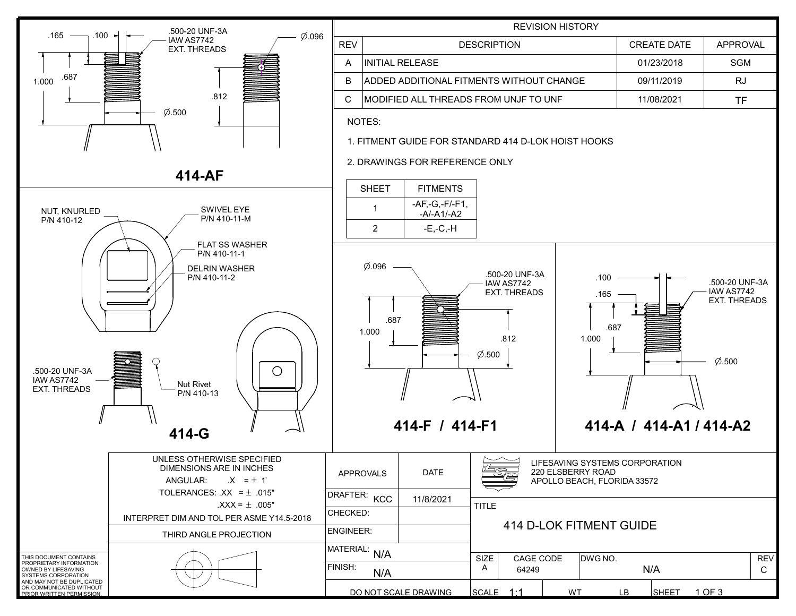